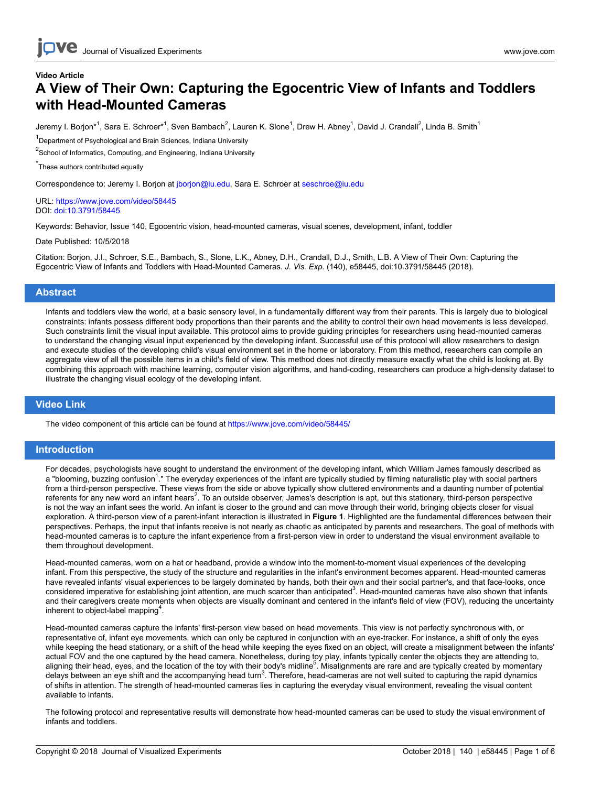# **Video Article A View of Their Own: Capturing the Egocentric View of Infants and Toddlers with Head-Mounted Cameras**

Jeremy I. Borjon\*<sup>1</sup>, Sara E. Schroer\*<sup>1</sup>, Sven Bambach<sup>2</sup>, Lauren K. Slone<sup>1</sup>, Drew H. Abney<sup>1</sup>, David J. Crandall<sup>2</sup>, Linda B. Smith<sup>1</sup>

<sup>1</sup>Department of Psychological and Brain Sciences, Indiana University

<sup>2</sup>School of Informatics, Computing, and Engineering, Indiana University

\* These authors contributed equally

Correspondence to: Jeremy I. Borjon at [jborjon@iu.edu,](mailto:jborjon@iu.edu) Sara E. Schroer at [seschroe@iu.edu](mailto:seschroe@iu.edu)

URL:<https://www.jove.com/video/58445> DOI: [doi:10.3791/58445](http://dx.doi.org/10.3791/58445)

Keywords: Behavior, Issue 140, Egocentric vision, head-mounted cameras, visual scenes, development, infant, toddler

Date Published: 10/5/2018

Citation: Borjon, J.I., Schroer, S.E., Bambach, S., Slone, L.K., Abney, D.H., Crandall, D.J., Smith, L.B. A View of Their Own: Capturing the Egocentric View of Infants and Toddlers with Head-Mounted Cameras. *J. Vis. Exp.* (140), e58445, doi:10.3791/58445 (2018).

#### **Abstract**

Infants and toddlers view the world, at a basic sensory level, in a fundamentally different way from their parents. This is largely due to biological constraints: infants possess different body proportions than their parents and the ability to control their own head movements is less developed. Such constraints limit the visual input available. This protocol aims to provide guiding principles for researchers using head-mounted cameras to understand the changing visual input experienced by the developing infant. Successful use of this protocol will allow researchers to design and execute studies of the developing child's visual environment set in the home or laboratory. From this method, researchers can compile an aggregate view of all the possible items in a child's field of view. This method does not directly measure exactly what the child is looking at. By combining this approach with machine learning, computer vision algorithms, and hand-coding, researchers can produce a high-density dataset to illustrate the changing visual ecology of the developing infant.

## **Video Link**

The video component of this article can be found at <https://www.jove.com/video/58445/>

#### **Introduction**

For decades, psychologists have sought to understand the environment of the developing infant, which William James famously described as a "blooming, buzzing confusion<sup>1</sup>." The everyday experiences of the infant are typically studied by filming naturalistic play with social partners from a third-person perspective. These views from the side or above typically show cluttered environments and a daunting number of potential referents for any new word an infant hears<sup>2</sup>. To an outside observer, James's description is apt, but this stationary, third-person perspective is not the way an infant sees the world. An infant is closer to the ground and can move through their world, bringing objects closer for visual exploration. A third-person view of a parent-infant interaction is illustrated in **Figure 1**. Highlighted are the fundamental differences between their perspectives. Perhaps, the input that infants receive is not nearly as chaotic as anticipated by parents and researchers. The goal of methods with head-mounted cameras is to capture the infant experience from a first-person view in order to understand the visual environment available to them throughout development.

Head-mounted cameras, worn on a hat or headband, provide a window into the moment-to-moment visual experiences of the developing infant. From this perspective, the study of the structure and regularities in the infant's environment becomes apparent. Head-mounted cameras have revealed infants' visual experiences to be largely dominated by hands, both their own and their social partner's, and that face-looks, once considered imperative for establishing joint attention, are much scarcer than anticipated<sup>3</sup>. Head-mounted cameras have also shown that infants and their caregivers create moments when objects are visually dominant and centered in the infant's field of view (FOV), reducing the uncertainty inherent to object-label mapping<sup>4</sup>.

Head-mounted cameras capture the infants' first-person view based on head movements. This view is not perfectly synchronous with, or representative of, infant eye movements, which can only be captured in conjunction with an eye-tracker. For instance, a shift of only the eyes while keeping the head stationary, or a shift of the head while keeping the eyes fixed on an object, will create a misalignment between the infants' actual FOV and the one captured by the head camera. Nonetheless, during toy play, infants typically center the objects they are attending to, aligning their head, eyes, and the location of the toy with their body's midline<sup>5</sup>. Misalignments are rare and are typically created by momentary<br>delays between an eye shift and the accompanying head turn<sup>3</sup>. Therefore, h of shifts in attention. The strength of head-mounted cameras lies in capturing the everyday visual environment, revealing the visual content available to infants.

The following protocol and representative results will demonstrate how head-mounted cameras can be used to study the visual environment of infants and toddlers.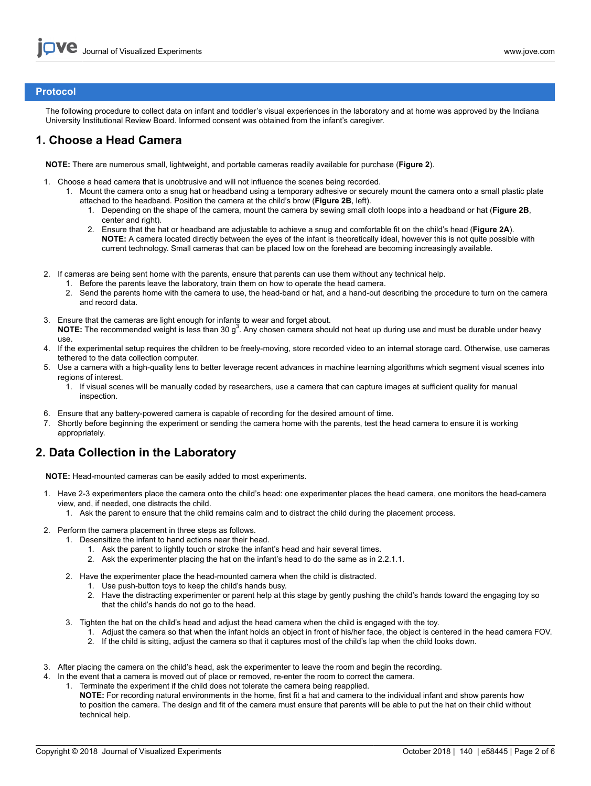## **Protocol**

The following procedure to collect data on infant and toddler's visual experiences in the laboratory and at home was approved by the Indiana University Institutional Review Board. Informed consent was obtained from the infant's caregiver.

# **1. Choose a Head Camera**

**NOTE:** There are numerous small, lightweight, and portable cameras readily available for purchase (**Figure 2**).

- 1. Choose a head camera that is unobtrusive and will not influence the scenes being recorded.
	- 1. Mount the camera onto a snug hat or headband using a temporary adhesive or securely mount the camera onto a small plastic plate attached to the headband. Position the camera at the child's brow (**Figure 2B**, left).
		- 1. Depending on the shape of the camera, mount the camera by sewing small cloth loops into a headband or hat (**Figure 2B**, center and right).
		- 2. Ensure that the hat or headband are adjustable to achieve a snug and comfortable fit on the child's head (**Figure 2A**). **NOTE:** A camera located directly between the eyes of the infant is theoretically ideal, however this is not quite possible with current technology. Small cameras that can be placed low on the forehead are becoming increasingly available.
- 2. If cameras are being sent home with the parents, ensure that parents can use them without any technical help.
	- 1. Before the parents leave the laboratory, train them on how to operate the head camera.
	- 2. Send the parents home with the camera to use, the head-band or hat, and a hand-out describing the procedure to turn on the camera and record data.
- 3. Ensure that the cameras are light enough for infants to wear and forget about. **NOTE:** The recommended weight is less than 30 g<sup>3</sup>. Any chosen camera should not heat up during use and must be durable under heavy use.
- 4. If the experimental setup requires the children to be freely-moving, store recorded video to an internal storage card. Otherwise, use cameras tethered to the data collection computer.
- 5. Use a camera with a high-quality lens to better leverage recent advances in machine learning algorithms which segment visual scenes into regions of interest.
	- 1. If visual scenes will be manually coded by researchers, use a camera that can capture images at sufficient quality for manual inspection.
- 6. Ensure that any battery-powered camera is capable of recording for the desired amount of time.
- 7. Shortly before beginning the experiment or sending the camera home with the parents, test the head camera to ensure it is working appropriately.

# **2. Data Collection in the Laboratory**

**NOTE:** Head-mounted cameras can be easily added to most experiments.

- 1. Have 2-3 experimenters place the camera onto the child's head: one experimenter places the head camera, one monitors the head-camera view, and, if needed, one distracts the child.
	- 1. Ask the parent to ensure that the child remains calm and to distract the child during the placement process.
- 2. Perform the camera placement in three steps as follows.
	- 1. Desensitize the infant to hand actions near their head.
		- 1. Ask the parent to lightly touch or stroke the infant's head and hair several times.
		- 2. Ask the experimenter placing the hat on the infant's head to do the same as in 2.2.1.1.
	- 2. Have the experimenter place the head-mounted camera when the child is distracted.
		- 1. Use push-button toys to keep the child's hands busy.
		- 2. Have the distracting experimenter or parent help at this stage by gently pushing the child's hands toward the engaging toy so that the child's hands do not go to the head.
	- 3. Tighten the hat on the child's head and adjust the head camera when the child is engaged with the toy.
		- 1. Adjust the camera so that when the infant holds an object in front of his/her face, the object is centered in the head camera FOV.
		- 2. If the child is sitting, adjust the camera so that it captures most of the child's lap when the child looks down.
- 3. After placing the camera on the child's head, ask the experimenter to leave the room and begin the recording.
- 4. In the event that a camera is moved out of place or removed, re-enter the room to correct the camera.
	- Terminate the experiment if the child does not tolerate the camera being reapplied.
		- **NOTE:** For recording natural environments in the home, first fit a hat and camera to the individual infant and show parents how to position the camera. The design and fit of the camera must ensure that parents will be able to put the hat on their child without technical help.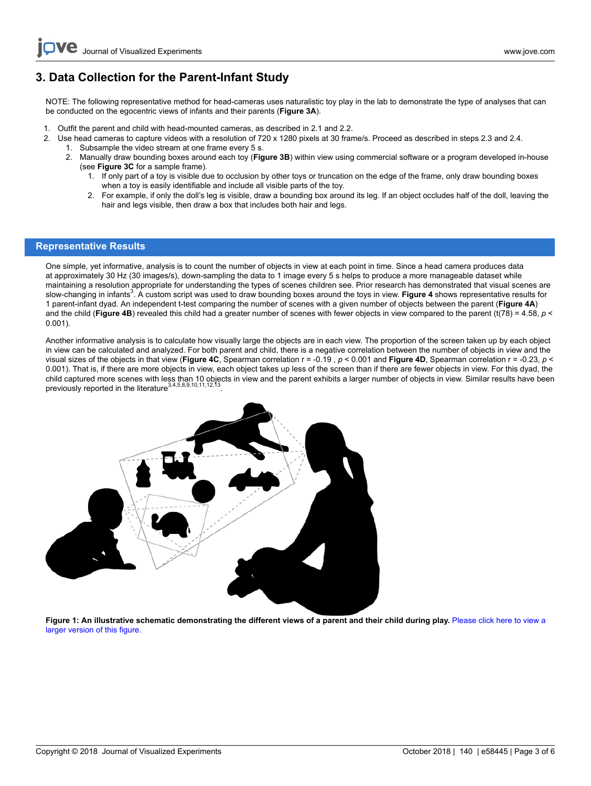# **3. Data Collection for the Parent-Infant Study**

NOTE: The following representative method for head-cameras uses naturalistic toy play in the lab to demonstrate the type of analyses that can be conducted on the egocentric views of infants and their parents (**Figure 3A**).

- 1. Outfit the parent and child with head-mounted cameras, as described in 2.1 and 2.2.
- 2. Use head cameras to capture videos with a resolution of 720 x 1280 pixels at 30 frame/s. Proceed as described in steps 2.3 and 2.4.
	- 1. Subsample the video stream at one frame every 5 s.
	- 2. Manually draw bounding boxes around each toy (**Figure 3B**) within view using commercial software or a program developed in-house (see **Figure 3C** for a sample frame).
		- 1. If only part of a toy is visible due to occlusion by other toys or truncation on the edge of the frame, only draw bounding boxes when a toy is easily identifiable and include all visible parts of the toy.
		- 2. For example, if only the doll's leg is visible, draw a bounding box around its leg. If an object occludes half of the doll, leaving the hair and legs visible, then draw a box that includes both hair and legs.

### **Representative Results**

One simple, yet informative, analysis is to count the number of objects in view at each point in time. Since a head camera produces data at approximately 30 Hz (30 images/s), down-sampling the data to 1 image every 5 s helps to produce a more manageable dataset while maintaining a resolution appropriate for understanding the types of scenes children see. Prior research has demonstrated that visual scenes are slow-changing in infants<sup>3</sup>. A custom script was used to draw bounding boxes around the toys in view. Figure 4 shows representative results for 1 parent-infant dyad. An independent t-test comparing the number of scenes with a given number of objects between the parent (**Figure 4A**) and the child (**Figure 4B**) revealed this child had a greater number of scenes with fewer objects in view compared to the parent (t(78) = 4.58,  $p <$ 0.001).

Another informative analysis is to calculate how visually large the objects are in each view. The proportion of the screen taken up by each object in view can be calculated and analyzed. For both parent and child, there is a negative correlation between the number of objects in view and the visual sizes of the objects in that view (Figure 4C, Spearman correlation  $r = -0.19$ ,  $p < 0.001$  and Figure 4D, Spearman correlation  $r = -0.23$ ,  $p <$ 0.001). That is, if there are more objects in view, each object takes up less of the screen than if there are fewer objects in view. For this dyad, the child captured more scenes with less than 10 objects in view and the parent exhibits a larger number of objects in view. Similar results have been<br>previously reported in the literature<sup>3,4,5,8,9,10,11,12,13</sup>.



Figure 1: An illustrative schematic demonstrating the different views of a parent and their child during play. [Please click here to view a](https://www.jove.com/files/ftp_upload/58445/58445fig1large.jpg) [larger version of this figure.](https://www.jove.com/files/ftp_upload/58445/58445fig1large.jpg)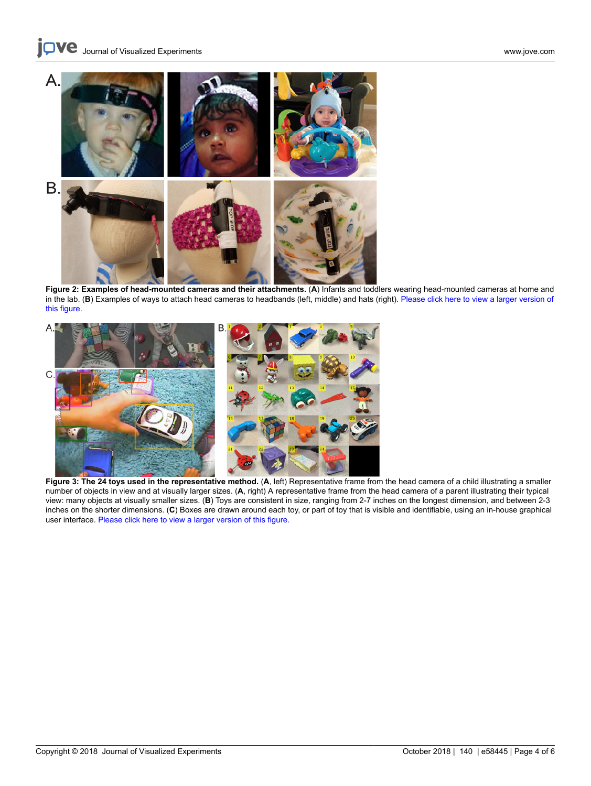

**Figure 2: Examples of head-mounted cameras and their attachments.** (**A**) Infants and toddlers wearing head-mounted cameras at home and in the lab. (**B**) Examples of ways to attach head cameras to headbands (left, middle) and hats (right). [Please click here to view a larger version of](https://www.jove.com/files/ftp_upload/58445/58445fig2large.jpg) [this figure.](https://www.jove.com/files/ftp_upload/58445/58445fig2large.jpg)



**Figure 3: The 24 toys used in the representative method.** (**A**, left) Representative frame from the head camera of a child illustrating a smaller number of objects in view and at visually larger sizes. (**A**, right) A representative frame from the head camera of a parent illustrating their typical view: many objects at visually smaller sizes. (**B**) Toys are consistent in size, ranging from 2-7 inches on the longest dimension, and between 2-3 inches on the shorter dimensions. (**C**) Boxes are drawn around each toy, or part of toy that is visible and identifiable, using an in-house graphical user interface. [Please click here to view a larger version of this figure.](https://www.jove.com/files/ftp_upload/58445/58445fig3large.jpg)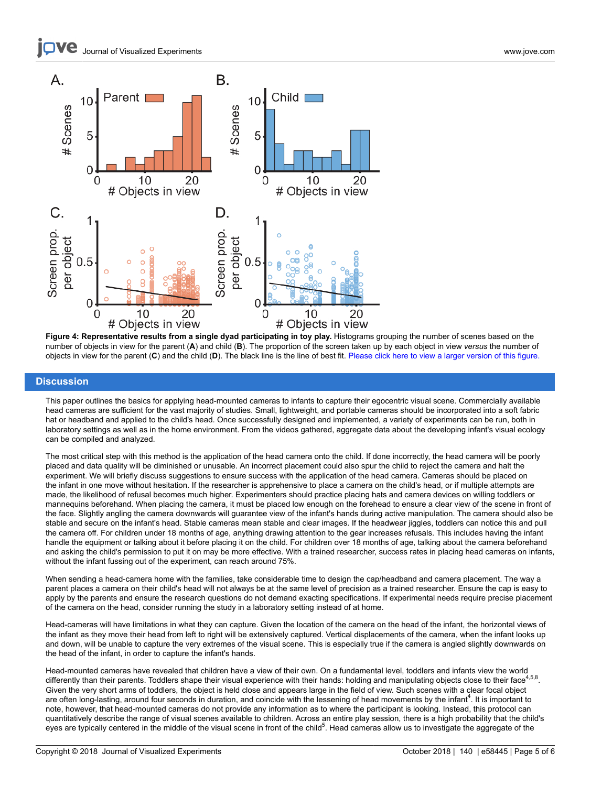Journal of Visualized [Experiments](https://www.jove.com) [www.jove.com](https://www.jove.com)



**Figure 4: Representative results from a single dyad participating in toy play.** Histograms grouping the number of scenes based on the number of objects in view for the parent (**A**) and child (**B**). The proportion of the screen taken up by each object in view *versus* the number of objects in view for the parent (**C**) and the child (**D**). The black line is the line of best fit. [Please click here to view a larger version of this figure.](https://www.jove.com/files/ftp_upload/58445/58445fig4large.jpg)

## **Discussion**

This paper outlines the basics for applying head-mounted cameras to infants to capture their egocentric visual scene. Commercially available head cameras are sufficient for the vast majority of studies. Small, lightweight, and portable cameras should be incorporated into a soft fabric hat or headband and applied to the child's head. Once successfully designed and implemented, a variety of experiments can be run, both in laboratory settings as well as in the home environment. From the videos gathered, aggregate data about the developing infant's visual ecology can be compiled and analyzed.

The most critical step with this method is the application of the head camera onto the child. If done incorrectly, the head camera will be poorly placed and data quality will be diminished or unusable. An incorrect placement could also spur the child to reject the camera and halt the experiment. We will briefly discuss suggestions to ensure success with the application of the head camera. Cameras should be placed on the infant in one move without hesitation. If the researcher is apprehensive to place a camera on the child's head, or if multiple attempts are made, the likelihood of refusal becomes much higher. Experimenters should practice placing hats and camera devices on willing toddlers or mannequins beforehand. When placing the camera, it must be placed low enough on the forehead to ensure a clear view of the scene in front of the face. Slightly angling the camera downwards will guarantee view of the infant's hands during active manipulation. The camera should also be stable and secure on the infant's head. Stable cameras mean stable and clear images. If the headwear jiggles, toddlers can notice this and pull the camera off. For children under 18 months of age, anything drawing attention to the gear increases refusals. This includes having the infant handle the equipment or talking about it before placing it on the child. For children over 18 months of age, talking about the camera beforehand and asking the child's permission to put it on may be more effective. With a trained researcher, success rates in placing head cameras on infants, without the infant fussing out of the experiment, can reach around 75%.

When sending a head-camera home with the families, take considerable time to design the cap/headband and camera placement. The way a parent places a camera on their child's head will not always be at the same level of precision as a trained researcher. Ensure the cap is easy to apply by the parents and ensure the research questions do not demand exacting specifications. If experimental needs require precise placement of the camera on the head, consider running the study in a laboratory setting instead of at home.

Head-cameras will have limitations in what they can capture. Given the location of the camera on the head of the infant, the horizontal views of the infant as they move their head from left to right will be extensively captured. Vertical displacements of the camera, when the infant looks up and down, will be unable to capture the very extremes of the visual scene. This is especially true if the camera is angled slightly downwards on the head of the infant, in order to capture the infant's hands.

Head-mounted cameras have revealed that children have a view of their own. On a fundamental level, toddlers and infants view the world differently than their parents. Toddlers shape their visual experience with their hands: holding and manipulating objects close to their face<sup>4,5,8</sup>. Given the very short arms of toddlers, the object is held close and appears large in the field of view. Such scenes with a clear focal object are often long-lasting, around four seconds in duration, and coincide with the lessening of head movements by the infant<sup>4</sup>. It is important to note, however, that head-mounted cameras do not provide any information as to where the participant is looking. Instead, this protocol can quantitatively describe the range of visual scenes available to children. Across an entire play session, there is a high probability that the child's<br>eyes are typically centered in the middle of the visual scene in front o